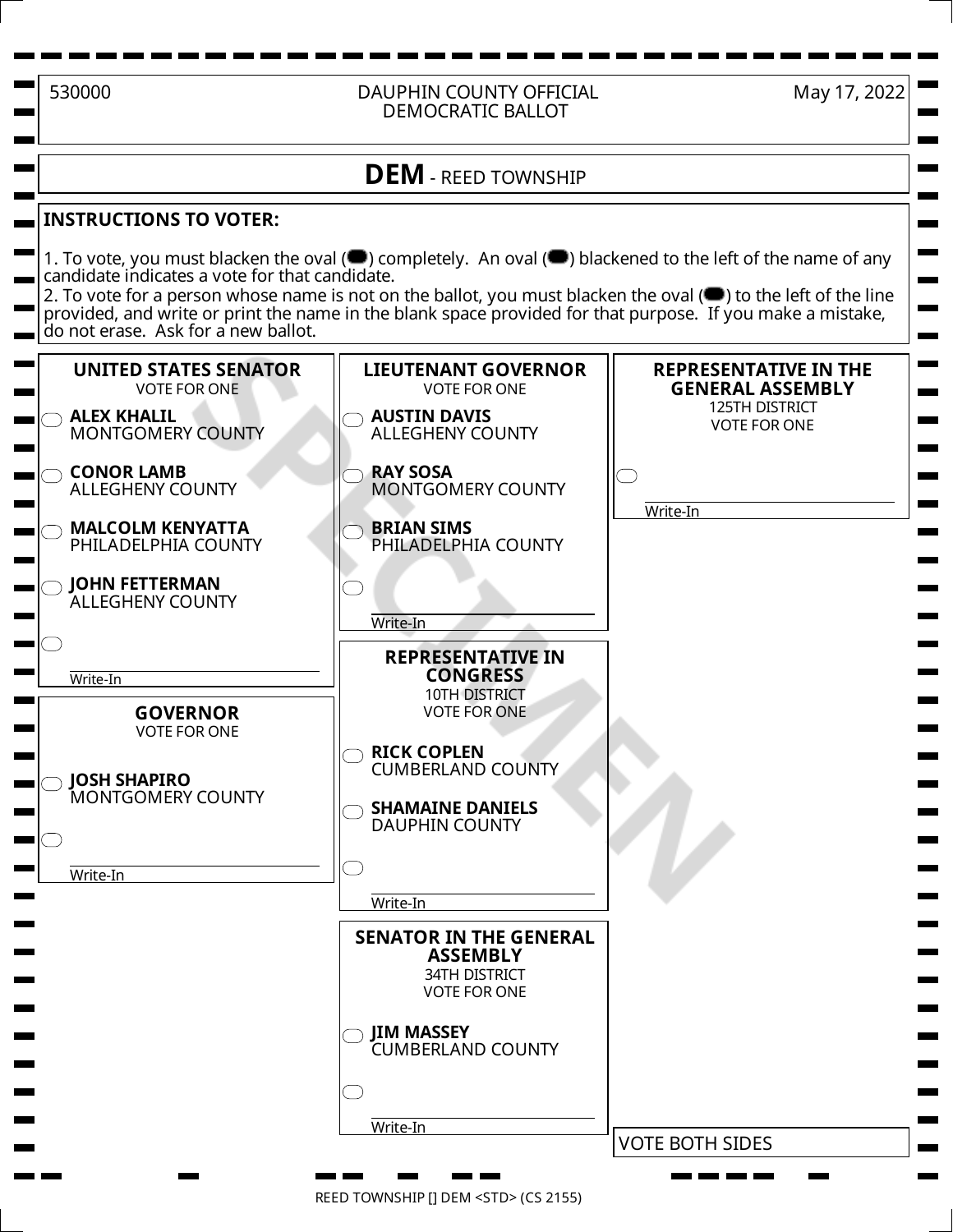## 530000 DAUPHIN COUNTY OFFICIAL DEMOCRATIC BALLOT

May 17, 2022

## **DEM** - REED TOWNSHIP

## **INSTRUCTIONS TO VOTER:**

1. To vote, you must blacken the oval ( $\blacksquare$ ) completely. An oval ( $\blacksquare$ ) blackened to the left of the name of any candidate indicates a vote for that candidate.

2. To vote for a person whose name is not on the ballot, you must blacken the oval ( $\blacksquare$ ) to the left of the line provided, and write or print the name in the blank space provided for that purpose. If you make a mistake, do not erase. Ask for a new ballot.

| <b>UNITED STATES SENATOR</b><br><b>VOTE FOR ONE</b> | <b>LIEUTENANT GOVERNOR</b><br><b>VOTE FOR ONE</b>                                               | <b>REPRESENTATIVE IN THE</b><br><b>GENERAL ASSEMBLY</b> |
|-----------------------------------------------------|-------------------------------------------------------------------------------------------------|---------------------------------------------------------|
| <b>ALEX KHALIL</b><br><b>MONTGOMERY COUNTY</b>      | <b>AUSTIN DAVIS</b><br><b>ALLEGHENY COUNTY</b>                                                  | 125TH DISTRICT<br><b>VOTE FOR ONE</b>                   |
| <b>CONOR LAMB</b><br><b>ALLEGHENY COUNTY</b>        | <b>RAY SOSA</b><br><b>MONTGOMERY COUNTY</b>                                                     | Write-In                                                |
| <b>MALCOLM KENYATTA</b><br>PHILADELPHIA COUNTY      | <b>BRIAN SIMS</b><br>PHILADELPHIA COUNTY                                                        |                                                         |
| <b>JOHN FETTERMAN</b><br>ALLEGHENY COUNTY           | Write-In                                                                                        |                                                         |
| Write-In                                            | <b>REPRESENTATIVE IN</b><br><b>CONGRESS</b><br>10TH DISTRICT                                    |                                                         |
| <b>GOVERNOR</b><br><b>VOTE FOR ONE</b>              | <b>VOTE FOR ONE</b><br><b>RICK COPLEN</b>                                                       |                                                         |
| <b>JOSH SHAPIRO</b><br>MONTGOMERY COUNTY            | <b>CUMBERLAND COUNTY</b><br><b>SHAMAINE DANIELS</b><br><b>DAUPHIN COUNTY</b>                    |                                                         |
| Write-In                                            | Write-In                                                                                        |                                                         |
|                                                     | <b>SENATOR IN THE GENERAL</b><br><b>ASSEMBLY</b><br><b>34TH DISTRICT</b><br><b>VOTE FOR ONE</b> |                                                         |
|                                                     | <b>JIM MASSEY</b><br><b>CUMBERLAND COUNTY</b>                                                   |                                                         |
|                                                     | Write-In                                                                                        |                                                         |
|                                                     |                                                                                                 | <b>VOTE BOTH SIDES</b>                                  |